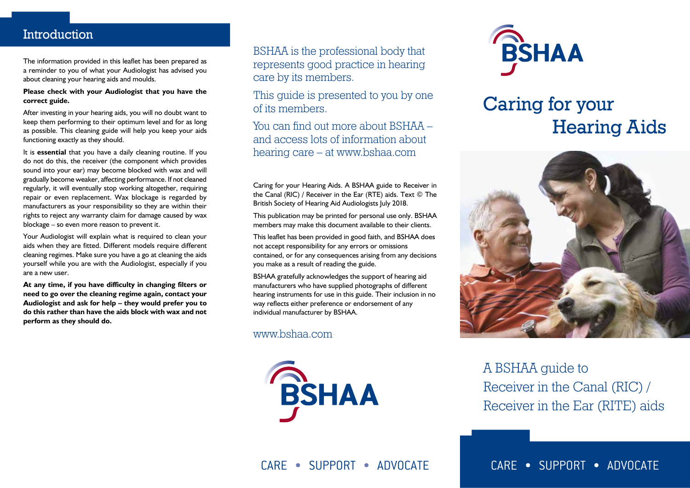### Introduction

The information provided in this leaflet has been prepared as a reminder to you of what your Audiologist has advised you about cleaning your hearing aids and moulds.

#### **Please check with your Audiologist that you have the correct guide.**

After investing in your hearing aids, you will no doubt want to keep them performing to their optimum level and for as long as possible. This cleaning guide will help you keep your aids functioning exactly as they should.

It is **essential** that you have a daily cleaning routine. If you do not do this, the receiver (the component which provides sound into your ear) may become blocked with wax and will gradually become weaker, affecting performance. If not cleaned regularly, it will eventually stop working altogether, requiring repair or even replacement. Wax blockage is regarded by manufacturers as your responsibility so they are within their rights to reject any warranty claim for damage caused by wax blockage – so even more reason to prevent it.

Your Audiologist will explain what is required to clean your aids when they are fitted. Different models require different cleaning regimes. Make sure you have a go at cleaning the aids yourself while you are with the Audiologist, especially if you are a new user.

**At any time, if you have difficulty in changing filters or need to go over the cleaning regime again, contact your Audiologist and ask for help – they would prefer you to do this rather than have the aids block with wax and not perform as they should do.**

BSHAA is the professional body that represents good practice in hearing care by its members.

This quide is presented to you by one of its members.

You can find out more about BSHAA – and access lots of information about hearing care – at www.bshaa.com

Caring for your Hearing Aids. A BSHAA guide to Receiver in the Canal (RIC) / Receiver in the Ear (RTE) aids. Text © The British Society of Hearing Aid Audiologists July 2018.

This publication may be printed for personal use only. BSHAA members may make this document available to their clients.

This leaflet has been provided in good faith, and BSHAA does not accept responsibility for any errors or omissions contained, or for any consequences arising from any decisions you make as a result of reading the guide.

BSHAA gratefully acknowledges the support of hearing aid manufacturers who have supplied photographs of different hearing instruments for use in this guide. Their inclusion in no way reflects either preference or endorsement of any individual manufacturer by BSHAA.

www.bshaa.com





# Caring for your Hearing Aids



A BSHAA guide to Receiver in the Canal (RIC) / Receiver in the Ear (RITE) aids

CARE • SUPPORT • ADVOCATE

CARE • SUPPORT • ADVOCATE